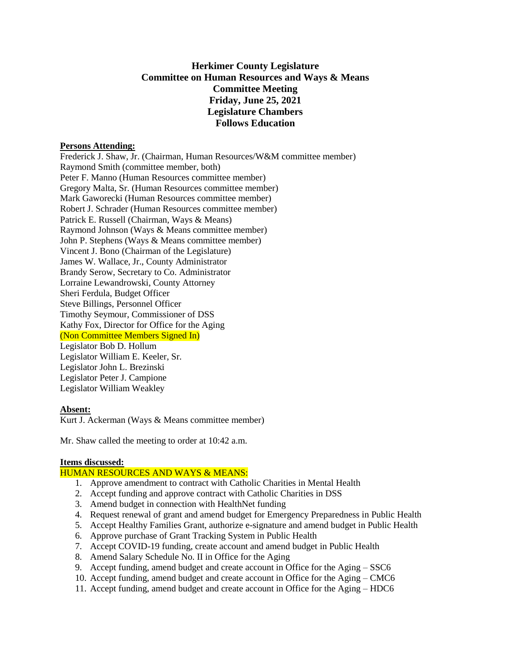# **Herkimer County Legislature Committee on Human Resources and Ways & Means Committee Meeting Friday, June 25, 2021 Legislature Chambers Follows Education**

### **Persons Attending:**

Frederick J. Shaw, Jr. (Chairman, Human Resources/W&M committee member) Raymond Smith (committee member, both) Peter F. Manno (Human Resources committee member) Gregory Malta, Sr. (Human Resources committee member) Mark Gaworecki (Human Resources committee member) Robert J. Schrader (Human Resources committee member) Patrick E. Russell (Chairman, Ways & Means) Raymond Johnson (Ways & Means committee member) John P. Stephens (Ways & Means committee member) Vincent J. Bono (Chairman of the Legislature) James W. Wallace, Jr., County Administrator Brandy Serow, Secretary to Co. Administrator Lorraine Lewandrowski, County Attorney Sheri Ferdula, Budget Officer Steve Billings, Personnel Officer Timothy Seymour, Commissioner of DSS Kathy Fox, Director for Office for the Aging (Non Committee Members Signed In) Legislator Bob D. Hollum Legislator William E. Keeler, Sr. Legislator John L. Brezinski Legislator Peter J. Campione Legislator William Weakley

# **Absent:**

Kurt J. Ackerman (Ways & Means committee member)

Mr. Shaw called the meeting to order at 10:42 a.m.

#### **Items discussed:**

# HUMAN RESOURCES AND WAYS & MEANS:

- 1. Approve amendment to contract with Catholic Charities in Mental Health
- 2. Accept funding and approve contract with Catholic Charities in DSS
- 3. Amend budget in connection with HealthNet funding
- 4. Request renewal of grant and amend budget for Emergency Preparedness in Public Health
- 5. Accept Healthy Families Grant, authorize e-signature and amend budget in Public Health
- 6. Approve purchase of Grant Tracking System in Public Health
- 7. Accept COVID-19 funding, create account and amend budget in Public Health
- 8. Amend Salary Schedule No. II in Office for the Aging
- 9. Accept funding, amend budget and create account in Office for the Aging SSC6
- 10. Accept funding, amend budget and create account in Office for the Aging CMC6
- 11. Accept funding, amend budget and create account in Office for the Aging HDC6